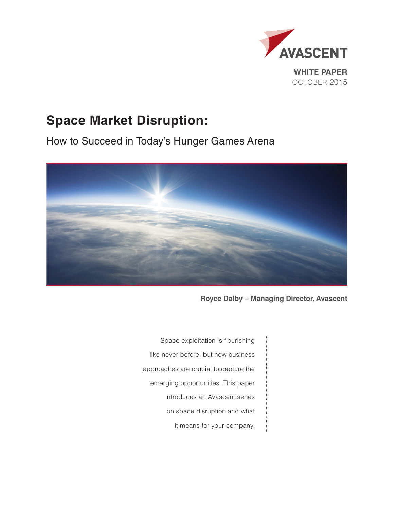

# **Space Market Disruption:**

How to Succeed in Today's Hunger Games Arena



**Royce Dalby – Managing Director, Avascent**

Space exploitation is flourishing like never before, but new business approaches are crucial to capture the emerging opportunities. This paper introduces an Avascent series on space disruption and what it means for your company.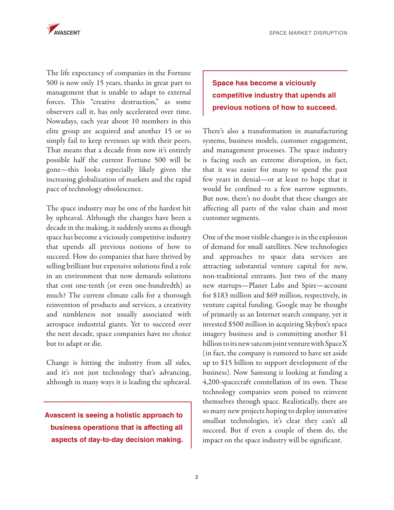

The life expectancy of companies in the Fortune 500 is now only 15 years, thanks in great part to management that is unable to adapt to external forces. This "creative destruction," as some observers call it, has only accelerated over time. Nowadays, each year about 10 members in this elite group are acquired and another 15 or so simply fail to keep revenues up with their peers. That means that a decade from now it's entirely possible half the current Fortune 500 will be gone—this looks especially likely given the increasing globalization of markets and the rapid pace of technology obsolescence.

The space industry may be one of the hardest hit by upheaval. Although the changes have been a decade in the making, it suddenly seems as though space has become a viciously competitive industry that upends all previous notions of how to succeed. How do companies that have thrived by selling brilliant but expensive solutions find a role in an environment that now demands solutions that cost one-tenth (or even one-hundredth) as much? The current climate calls for a thorough reinvention of products and services, a creativity and nimbleness not usually associated with aerospace industrial giants. Yet to succeed over the next decade, space companies have no choice but to adapt or die.

Change is hitting the industry from all sides, and it's not just technology that's advancing, although in many ways it is leading the upheaval.

**Avascent is seeing a holistic approach to business operations that is affecting all aspects of day-to-day decision making.**

## **Space has become a viciously competitive industry that upends all previous notions of how to succeed.**

There's also a transformation in manufacturing systems, business models, customer engagement, and management processes. The space industry is facing such an extreme disruption, in fact, that it was easier for many to spend the past few years in denial—or at least to hope that it would be confined to a few narrow segments. But now, there's no doubt that these changes are affecting all parts of the value chain and most customer segments.

One of the most visible changes is in the explosion of demand for small satellites. New technologies and approaches to space data services are attracting substantial venture capital for new, non-traditional entrants. Just two of the many new startups—Planet Labs and Spire—account for \$183 million and \$69 million, respectively, in venture capital funding. Google may be thought of primarily as an Internet search company, yet it invested \$500 million in acquiring Skybox's space imagery business and is committing another \$1 billion to its new satcom joint venture with SpaceX (in fact, the company is rumored to have set aside up to \$15 billion to support development of the business). Now Samsung is looking at funding a 4,200-spacecraft constellation of its own. These technology companies seem poised to reinvent themselves through space. Realistically, there are so many new projects hoping to deploy innovative smallsat technologies, it's clear they can't all succeed. But if even a couple of them do, the impact on the space industry will be significant.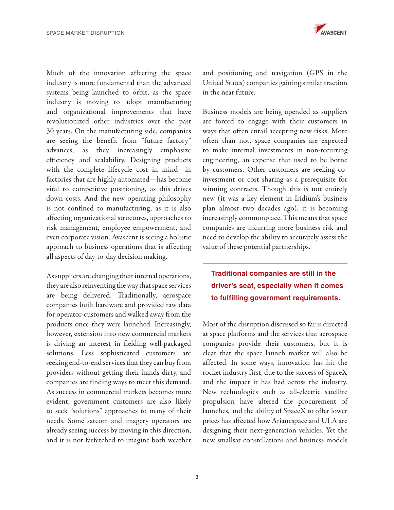Much of the innovation affecting the space industry is more fundamental than the advanced systems being launched to orbit, as the space industry is moving to adopt manufacturing and organizational improvements that have revolutionized other industries over the past 30 years. On the manufacturing side, companies are seeing the benefit from "future factory" advances, as they increasingly emphasize efficiency and scalability. Designing products with the complete lifecycle cost in mind—in factories that are highly automated—has become vital to competitive positioning, as this drives down costs. And the new operating philosophy is not confined to manufacturing, as it is also affecting organizational structures, approaches to risk management, employee empowerment, and even corporate vision. Avascent is seeing a holistic approach to business operations that is affecting all aspects of day-to-day decision making.

As suppliers are changing their internal operations, they are also reinventing the way that space services are being delivered. Traditionally, aerospace companies built hardware and provided raw data for operator-customers and walked away from the products once they were launched. Increasingly, however, extension into new commercial markets is driving an interest in fielding well-packaged solutions. Less sophisticated customers are seeking end-to-end services that they can buy from providers without getting their hands dirty, and companies are finding ways to meet this demand. As success in commercial markets becomes more evident, government customers are also likely to seek "solutions" approaches to many of their needs. Some satcom and imagery operators are already seeing success by moving in this direction, and it is not farfetched to imagine both weather



and positioning and navigation (GPS in the United States) companies gaining similar traction in the near future.

Business models are being upended as suppliers are forced to engage with their customers in ways that often entail accepting new risks. More often than not, space companies are expected to make internal investments in non-recurring engineering, an expense that used to be borne by customers. Other customers are seeking coinvestment or cost sharing as a prerequisite for winning contracts. Though this is not entirely new (it was a key element in Iridium's business plan almost two decades ago), it is becoming increasingly commonplace. This means that space companies are incurring more business risk and need to develop the ability to accurately assess the value of these potential partnerships.

**Traditional companies are still in the driver's seat, especially when it comes to fulfilling government requirements.** 

Most of the disruption discussed so far is directed at space platforms and the services that aerospace companies provide their customers, but it is clear that the space launch market will also be affected. In some ways, innovation has hit the rocket industry first, due to the success of SpaceX and the impact it has had across the industry. New technologies such as all-electric satellite propulsion have altered the procurement of launches, and the ability of SpaceX to offer lower prices has affected how Arianespace and ULA are designing their next-generation vehicles. Yet the new smallsat constellations and business models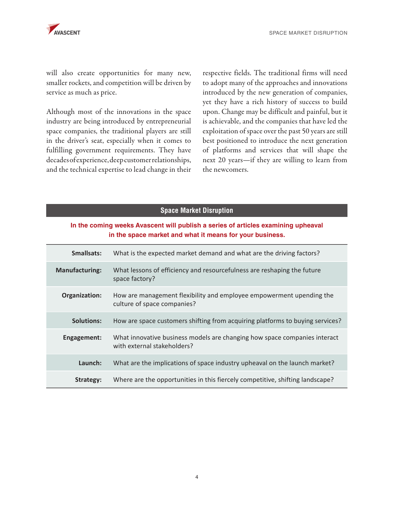will also create opportunities for many new, smaller rockets, and competition will be driven by service as much as price.

Although most of the innovations in the space industry are being introduced by entrepreneurial space companies, the traditional players are still in the driver's seat, especially when it comes to fulfilling government requirements. They have decades of experience, deep customer relationships, and the technical expertise to lead change in their

respective fields. The traditional firms will need to adopt many of the approaches and innovations introduced by the new generation of companies, yet they have a rich history of success to build upon. Change may be difficult and painful, but it is achievable, and the companies that have led the exploitation of space over the past 50 years are still best positioned to introduce the next generation of platforms and services that will shape the next 20 years—if they are willing to learn from the newcomers.

#### **Space Market Disruption**

## **In the coming weeks Avascent will publish a series of articles examining upheaval in the space market and what it means for your business.**

| Smallsats:            | What is the expected market demand and what are the driving factors?                                     |
|-----------------------|----------------------------------------------------------------------------------------------------------|
| <b>Manufacturing:</b> | What lessons of efficiency and resourcefulness are reshaping the future<br>space factory?                |
| Organization:         | How are management flexibility and employee empowerment upending the<br>culture of space companies?      |
| <b>Solutions:</b>     | How are space customers shifting from acquiring platforms to buying services?                            |
| Engagement:           | What innovative business models are changing how space companies interact<br>with external stakeholders? |
| Launch:               | What are the implications of space industry upheaval on the launch market?                               |
| Strategy:             | Where are the opportunities in this fiercely competitive, shifting landscape?                            |